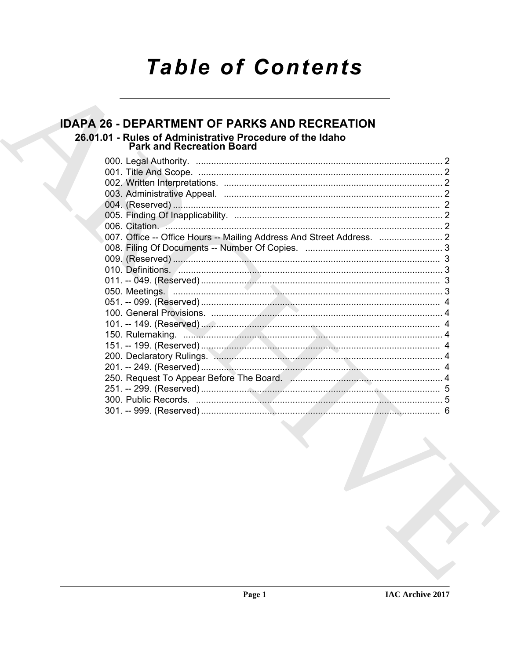# **Table of Contents**

### **IDAPA 26 - DEPARTMENT OF PARKS AND RECREATION**

#### 26.01.01 - Rules of Administrative Procedure of the Idaho **Park and Recreation Board**

| 006. Citation.                                                               |  |
|------------------------------------------------------------------------------|--|
|                                                                              |  |
|                                                                              |  |
|                                                                              |  |
|                                                                              |  |
|                                                                              |  |
|                                                                              |  |
|                                                                              |  |
|                                                                              |  |
|                                                                              |  |
|                                                                              |  |
|                                                                              |  |
| 200. Declaratory Rulings. Manual Manual Manual Manual Manual Manual Manual 4 |  |
|                                                                              |  |
|                                                                              |  |
|                                                                              |  |
|                                                                              |  |
|                                                                              |  |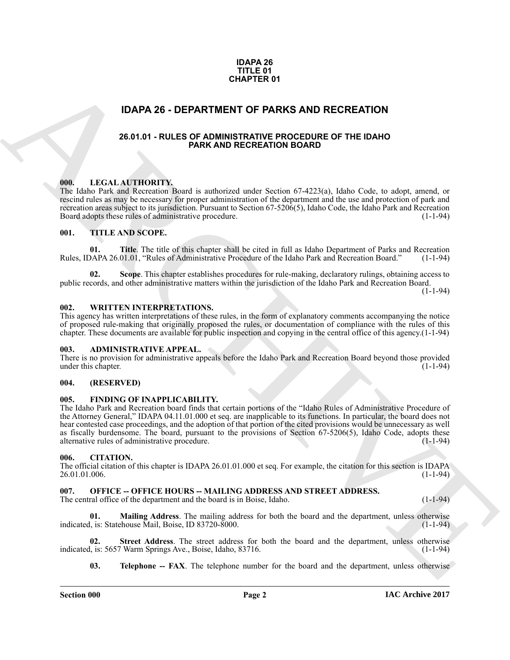#### **IDAPA 26 TITLE 01 CHAPTER 01**

#### <span id="page-1-0"></span>**IDAPA 26 - DEPARTMENT OF PARKS AND RECREATION**

#### **26.01.01 - RULES OF ADMINISTRATIVE PROCEDURE OF THE IDAHO PARK AND RECREATION BOARD**

#### <span id="page-1-2"></span><span id="page-1-1"></span>**000. LEGAL AUTHORITY.**

The Idaho Park and Recreation Board is authorized under Section 67-4223(a), Idaho Code, to adopt, amend, or rescind rules as may be necessary for proper administration of the department and the use and protection of park and recreation areas subject to its jurisdiction. Pursuant to Section 67-5206(5), Idaho Code, the Idaho Park and Recreation Board adopts these rules of administrative procedure.

#### <span id="page-1-3"></span>**001. TITLE AND SCOPE.**

**01. Title**. The title of this chapter shall be cited in full as Idaho Department of Parks and Recreation DAPA 26.01.01, "Rules of Administrative Procedure of the Idaho Park and Recreation Board." (1-1-94) Rules, IDAPA 26.01.01, "Rules of Administrative Procedure of the Idaho Park and Recreation Board."

**02. Scope**. This chapter establishes procedures for rule-making, declaratory rulings, obtaining access to public records, and other administrative matters within the jurisdiction of the Idaho Park and Recreation Board.

 $(1 - 1 - 94)$ 

#### <span id="page-1-4"></span>**002. WRITTEN INTERPRETATIONS.**

This agency has written interpretations of these rules, in the form of explanatory comments accompanying the notice of proposed rule-making that originally proposed the rules, or documentation of compliance with the rules of this chapter. These documents are available for public inspection and copying in the central office of this agency.(1-1-94)

#### <span id="page-1-5"></span>**003. ADMINISTRATIVE APPEAL.**

There is no provision for administrative appeals before the Idaho Park and Recreation Board beyond those provided under this chapter. (1-1-94) under this chapter.

#### <span id="page-1-6"></span>**004. (RESERVED)**

#### <span id="page-1-7"></span>**005. FINDING OF INAPPLICABILITY.**

**CHAPTER 01**<br>
26.64.04 - RULES OF PARKS AND RECREATION<br>
26.64.04 - RULES OF ANNINGERATIVE PROCEDURE OF THE IDAN<br>
26.64.04 - RULES OF ANN AND RECREATION BOARD COFTER THE IDAN<br>
26.64.04 - RULES OF ANN AND RECREATION BOARD C The Idaho Park and Recreation board finds that certain portions of the "Idaho Rules of Administrative Procedure of the Attorney General," IDAPA 04.11.01.000 et seq. are inapplicable to its functions. In particular, the board does not hear contested case proceedings, and the adoption of that portion of the cited provisions would be unnecessary as well as fiscally burdensome. The board, pursuant to the provisions of Section  $67-5206(5)$ , Idaho Code, adopts these alternative rules of administrative procedure.  $(1-1-94)$ alternative rules of administrative procedure.

#### <span id="page-1-8"></span>**006. CITATION.**

The official citation of this chapter is IDAPA 26.01.01.000 et seq. For example, the citation for this section is IDAPA 26.01.01.006. (1-1-94)

#### <span id="page-1-9"></span>007. OFFICE -- OFFICE HOURS -- MAILING ADDRESS AND STREET ADDRESS.

The central office of the department and the board is in Boise, Idaho. (1-1-94)

<span id="page-1-10"></span>**01. Mailing Address**. The mailing address for both the board and the department, unless otherwise indicated, is: Statehouse Mail, Boise, ID 83720-8000. (1-1-94)

**02.** Street Address. The street address for both the board and the department, unless otherwise l, is: 5657 Warm Springs Ave., Boise, Idaho, 83716. (1-1-94) indicated, is: 5657 Warm Springs Ave., Boise, Idaho, 83716.

<span id="page-1-12"></span><span id="page-1-11"></span>**03. Telephone -- FAX**. The telephone number for the board and the department, unless otherwise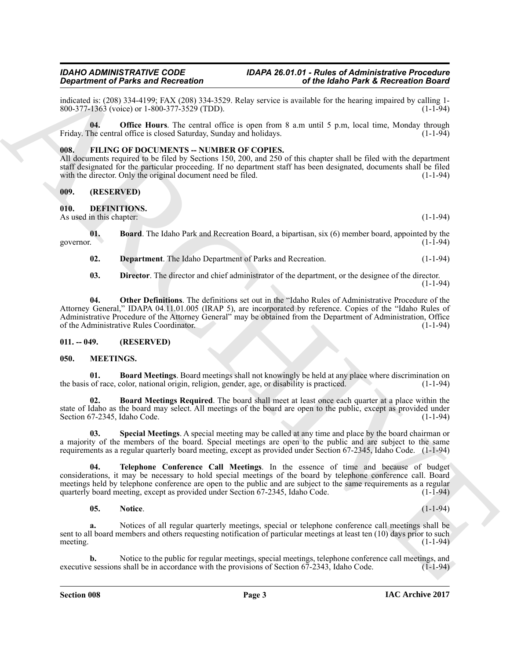indicated is: (208) 334-4199; FAX (208) 334-3529. Relay service is available for the hearing impaired by calling 1-<br>800-377-1363 (voice) or 1-800-377-3529 (TDD). 800-377-1363 (voice) or 1-800-377-3529 (TDD).

<span id="page-2-16"></span>**04. Office Hours**. The central office is open from 8 a.m until 5 p.m, local time, Monday through Friday. The central office is closed Saturday, Sunday and holidays. (1-1-94)

#### <span id="page-2-0"></span>**008. FILING OF DOCUMENTS -- NUMBER OF COPIES.**

All documents required to be filed by Sections 150, 200, and 250 of this chapter shall be filed with the department staff designated for the particular proceeding. If no department staff has been designated, documents shall be filed with the director. Only the original document need be filed.  $(1-1-94)$ 

#### <span id="page-2-1"></span>**009. (RESERVED)**

<span id="page-2-5"></span><span id="page-2-2"></span>**010. DEFINITIONS.**

As used in this chapter: (1-1-94)

**01. Board**. The Idaho Park and Recreation Board, a bipartisan, six (6) member board, appointed by the governor. (1-1-94) governor. (1-1-94)

<span id="page-2-7"></span><span id="page-2-6"></span>**02. Department**. The Idaho Department of Parks and Recreation. (1-1-94)

<span id="page-2-9"></span><span id="page-2-8"></span>**03. Director**. The director and chief administrator of the department, or the designee of the director. (1-1-94)

**Construction of Paint and Recorded ARCHIVEST Just neurral constraints and the second of the second of the second of the second of the second of the second of the second of the second of the second of the second of the se 04. Other Definitions**. The definitions set out in the "Idaho Rules of Administrative Procedure of the Attorney General," IDAPA 04.11.01.005 (IRAP 5), are incorporated by reference. Copies of the "Idaho Rules of Administrative Procedure of the Attorney General" may be obtained from the Department of Administration, Office of the Administrative Rules Coordinator. (1-1-94)

#### <span id="page-2-3"></span>**011. -- 049. (RESERVED)**

#### <span id="page-2-10"></span><span id="page-2-4"></span>**050. MEETINGS.**

<span id="page-2-11"></span>**01. Board Meetings**. Board meetings shall not knowingly be held at any place where discrimination on of race, color, national origin, religion, gender, age, or disability is practiced. (1-1-94) the basis of race, color, national origin, religion, gender, age, or disability is practiced.

<span id="page-2-12"></span>**Board Meetings Required.** The board shall meet at least once each quarter at a place within the state of Idaho as the board may select. All meetings of the board are open to the public, except as provided under Section 67-2345, Idaho Code. (1-1-94)

<span id="page-2-14"></span>**03. Special Meetings**. A special meeting may be called at any time and place by the board chairman or a majority of the members of the board. Special meetings are open to the public and are subject to the same requirements as a regular quarterly board meeting, except as provided under Section 67-2345, Idaho Code. (1-1-94)

**04. Telephone Conference Call Meetings**. In the essence of time and because of budget considerations, it may be necessary to hold special meetings of the board by telephone conference call. Board meetings held by telephone conference are open to the public and are subject to the same requirements as a regular quarterly board meeting, except as provided under Section 67-2345, Idaho Code. (1-1-94)

#### <span id="page-2-15"></span><span id="page-2-13"></span>**05. Notice**. (1-1-94)

**a.** Notices of all regular quarterly meetings, special or telephone conference call meetings shall be sent to all board members and others requesting notification of particular meetings at least ten (10) days prior to such meeting. (1-1-94) meeting.  $(1-1-94)$ 

Notice to the public for regular meetings, special meetings, telephone conference call meetings, and s shall be in accordance with the provisions of Section 67-2343, Idaho Code. (1-1-94) executive sessions shall be in accordance with the provisions of Section 67-2343, Idaho Code.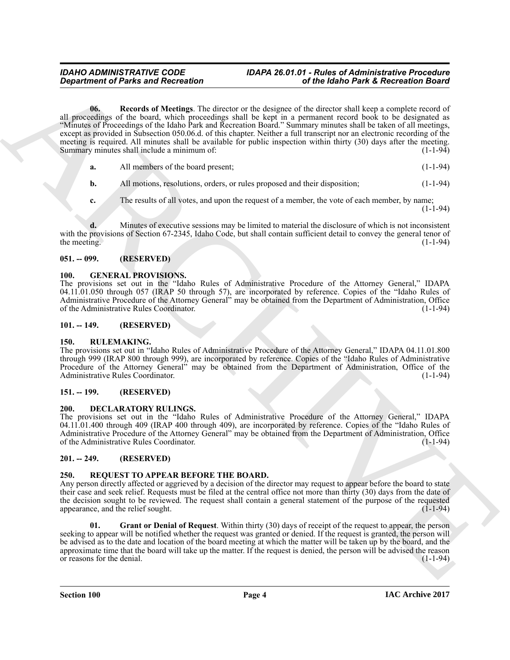## <span id="page-3-8"></span>*IDAHO ADMINISTRATIVE CODE IDAPA 26.01.01 - Rules of Administrative Procedure*

**Considered of Parks and Recreation**<br> **Considered in the blanch Park & Recreation desired in the state of the state of the filtered in the construction of the state of the state of the state of the state of the state of t 06. Records of Meetings**. The director or the designee of the director shall keep a complete record of all proceedings of the board, which proceedings shall be kept in a permanent record book to be designated as "Minutes of Proceedings of the Idaho Park and Recreation Board." Summary minutes shall be taken of all meetings, except as provided in Subsection 050.06.d. of this chapter. Neither a full transcript nor an electronic recording of the meeting is required. All minutes shall be available for public inspection within thirty (30) days after the meeting.<br>Summary minutes shall include a minimum of: Summary minutes shall include a minimum of:

**a.** All members of the board present; (1-1-94)

**b.** All motions, resolutions, orders, or rules proposed and their disposition; (1-1-94)

**c.** The results of all votes, and upon the request of a member, the vote of each member, by name;  $(1 - 1 - 94)$ 

**d.** Minutes of executive sessions may be limited to material the disclosure of which is not inconsistent with the provisions of Section 67-2345, Idaho Code, but shall contain sufficient detail to convey the general tenor of the meeting. (1-1-94) the meeting.  $(1-1-94)$ 

#### <span id="page-3-0"></span>**051. -- 099. (RESERVED)**

#### <span id="page-3-1"></span>**100. GENERAL PROVISIONS.**

The provisions set out in the "Idaho Rules of Administrative Procedure of the Attorney General," IDAPA 04.11.01.050 through 057 (IRAP 50 through 57), are incorporated by reference. Copies of the "Idaho Rules of Administrative Procedure of the Attorney General" may be obtained from the Department of Administration, Office of the Administrative Rules Coordinator.

#### <span id="page-3-2"></span>**101. -- 149. (RESERVED)**

#### <span id="page-3-3"></span>**150. RULEMAKING.**

The provisions set out in "Idaho Rules of Administrative Procedure of the Attorney General," IDAPA 04.11.01.800 through 999 (IRAP 800 through 999), are incorporated by reference. Copies of the "Idaho Rules of Administrative Procedure of the Attorney General" may be obtained from the Department of Administration, Office of the Administrative Rules Coordinator. (1-1-94)

#### <span id="page-3-4"></span>**151. -- 199. (RESERVED)**

#### <span id="page-3-5"></span>**200. DECLARATORY RULINGS.**

The provisions set out in the "Idaho Rules of Administrative Procedure of the Attorney General," IDAPA 04.11.01.400 through 409 (IRAP 400 through 409), are incorporated by reference. Copies of the "Idaho Rules of Administrative Procedure of the Attorney General" may be obtained from the Department of Administration, Office of the Administrative Rules Coordinator. (1-1-94)

#### <span id="page-3-6"></span>**201. -- 249. (RESERVED)**

#### <span id="page-3-9"></span><span id="page-3-7"></span>**250. REQUEST TO APPEAR BEFORE THE BOARD.**

Any person directly affected or aggrieved by a decision of the director may request to appear before the board to state their case and seek relief. Requests must be filed at the central office not more than thirty (30) days from the date of the decision sought to be reviewed. The request shall contain a general statement of the purpose of the requested appearance, and the relief sought.  $(1-1-94)$ appearance, and the relief sought.

<span id="page-3-10"></span>**Grant or Denial of Request**. Within thirty (30) days of receipt of the request to appear, the person seeking to appear will be notified whether the request was granted or denied. If the request is granted, the person will be advised as to the date and location of the board meeting at which the matter will be taken up by the board, and the approximate time that the board will take up the matter. If the request is denied, the person will be advised the reason or reasons for the denial.  $(1-1-94)$ or reasons for the denial.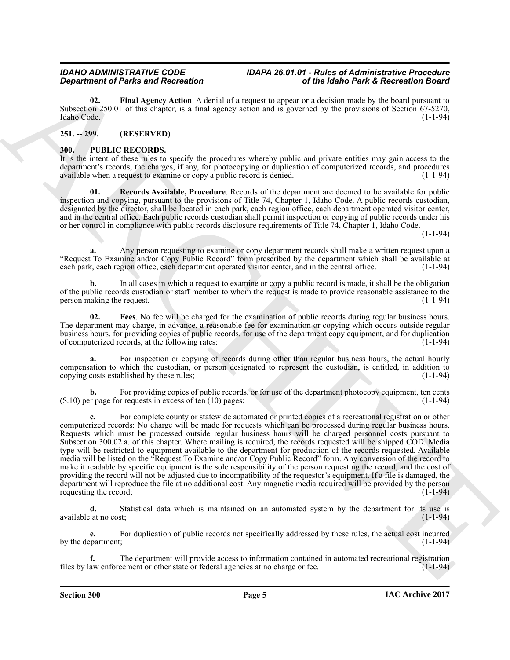<span id="page-4-5"></span>**02. Final Agency Action**. A denial of a request to appear or a decision made by the board pursuant to Subsection 250.01 of this chapter, is a final agency action and is governed by the provisions of Section 67-5270, Idaho Code. (1-1-94) Idaho Code. (1-1-94)

#### <span id="page-4-0"></span>**251. -- 299. (RESERVED)**

#### <span id="page-4-2"></span><span id="page-4-1"></span>**300. PUBLIC RECORDS.**

It is the intent of these rules to specify the procedures whereby public and private entities may gain access to the department's records, the charges, if any, for photocopying or duplication of computerized records, and procedures available when a request to examine or copy a public record is denied. (1-1-94)

<span id="page-4-4"></span>**01. Records Available, Procedure**. Records of the department are deemed to be available for public inspection and copying, pursuant to the provisions of Title 74, Chapter 1, Idaho Code. A public records custodian, designated by the director, shall be located in each park, each region office, each department operated visitor center, and in the central office. Each public records custodian shall permit inspection or copying of public records under his or her control in compliance with public records disclosure requirements of Title 74, Chapter 1, Idaho Code.

(1-1-94)

**a.** Any person requesting to examine or copy department records shall make a written request upon a "Request To Examine and/or Copy Public Record" form prescribed by the department which shall be available at each park, each region office, each department operated visitor center, and in the central office.

**b.** In all cases in which a request to examine or copy a public record is made, it shall be the obligation of the public records custodian or staff member to whom the request is made to provide reasonable assistance to the person making the request. (1-1-94) (1-1-94)

<span id="page-4-3"></span>**02. Fees**. No fee will be charged for the examination of public records during regular business hours. The department may charge, in advance, a reasonable fee for examination or copying which occurs outside regular business hours, for providing copies of public records, for use of the department copy equipment, and for duplication of computerized records, at the following rates: of computerized records, at the following rates:

For inspection or copying of records during other than regular business hours, the actual hourly compensation to which the custodian, or person designated to represent the custodian, is entitled, in addition to copying costs established by these rules; (1-1-94)

**b.** For providing copies of public records, or for use of the department photocopy equipment, ten cents r page for requests in excess of ten (10) pages: (1-1-94)  $($.10)$  per page for requests in excess of ten  $(10)$  pages;

*Great from the same Recording*. The basis and the same of the basis Park Chiracter is the control of the same stress of the same stress of the same stress of the same stress of the same stress of the same stress of the For complete county or statewide automated or printed copies of a recreational registration or other computerized records: No charge will be made for requests which can be processed during regular business hours. Requests which must be processed outside regular business hours will be charged personnel costs pursuant to Subsection 300.02.a. of this chapter. Where mailing is required, the records requested will be shipped COD. Media type will be restricted to equipment available to the department for production of the records requested. Available media will be listed on the "Request To Examine and/or Copy Public Record" form. Any conversion of the record to make it readable by specific equipment is the sole responsibility of the person requesting the record, and the cost of providing the record will not be adjusted due to incompatibility of the requestor's equipment. If a file is damaged, the department will reproduce the file at no additional cost. Any magnetic media required will be provided by the person requesting the record;  $(1-1-94)$ 

**d.** Statistical data which is maintained on an automated system by the department for its use is at no cost; (1-1-94) available at no cost;

**e.** For duplication of public records not specifically addressed by these rules, the actual cost incurred partment: (1-1-94) by the department;

The department will provide access to information contained in automated recreational registration cement or other state or federal agencies at no charge or fee.  $(1-1-94)$ files by law enforcement or other state or federal agencies at no charge or fee.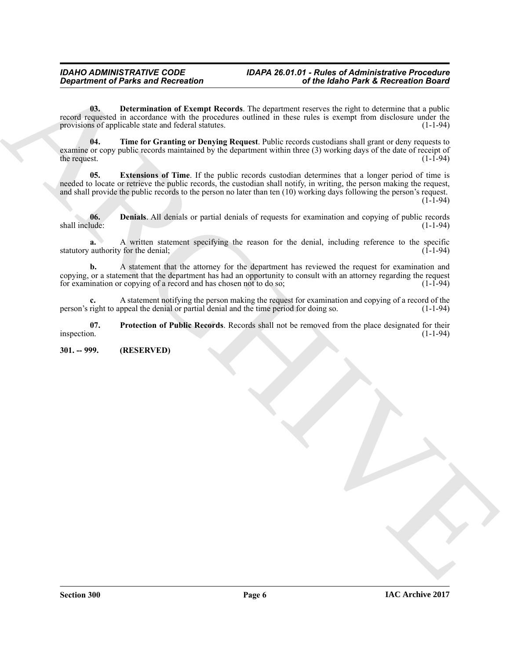## *IDAHO ADMINISTRATIVE CODE IDAPA 26.01.01 - Rules of Administrative Procedure*

<span id="page-5-2"></span>**03. Determination of Exempt Records**. The department reserves the right to determine that a public record requested in accordance with the procedures outlined in these rules is exempt from disclosure under the provisions of applicable state and federal statutes. provisions of applicable state and federal statutes.

<span id="page-5-5"></span>**04. Time for Granting or Denying Request**. Public records custodians shall grant or deny requests to examine or copy public records maintained by the department within three (3) working days of the date of receipt of the request. the request.  $(1-1-94)$ 

<span id="page-5-3"></span>**05. Extensions of Time**. If the public records custodian determines that a longer period of time is needed to locate or retrieve the public records, the custodian shall notify, in writing, the person making the request, and shall provide the public records to the person no later than ten (10) working days following the person's request.

 $(1 - 1 - 94)$ 

<span id="page-5-1"></span>**06.** Denials. All denials or partial denials of requests for examination and copying of public records shall include:  $(1-1-94)$ shall include: (1-1-94)

**a.** A written statement specifying the reason for the denial, including reference to the specific statutory authority for the denial; (1-1-94) (1-1-94)

**Department of Parks and Recreation**<br>
We also the problem and Recent Recreation of the distribution current of the bank of the state of the control time of the state of the state of the state of the state of the state of **b.** A statement that the attorney for the department has reviewed the request for examination and copying, or a statement that the department has had an opportunity to consult with an attorney regarding the request<br>for examination or copying of a record and has chosen not to do so;<br>(1-1-94) for examination or copying of a record and has chosen not to do so;

A statement notifying the person making the request for examination and copying of a record of the person making the request for examination and copying of a record of the person making the time period for doing so. person's right to appeal the denial or partial denial and the time period for doing so.

<span id="page-5-4"></span>**07.** Protection of Public Records. Records shall not be removed from the place designated for their inspection. (1-1-94) inspection. (1-1-94)

<span id="page-5-0"></span>**301. -- 999. (RESERVED)**